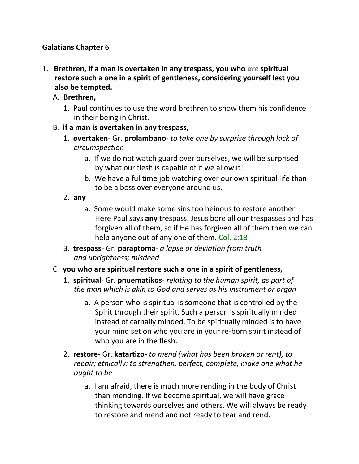### **Galatians Chapter 6**

- 1. **Brethren, if a man is overtaken in any trespass, you who** *are* **spiritual restore such a one in a spirit of gentleness, considering yourself lest you also be tempted.**
	- A. **Brethren,**
		- 1. Paul continues to use the word brethren to show them his confidence in their being in Christ.
	- B. **if a man is overtaken in any trespass,**
		- 1. **overtaken** Gr. **prolambano** *to take one by surprise through lack of circumspection*
			- a. If we do not watch guard over ourselves, we will be surprised by what our flesh is capable of if we allow it!
			- b. We have a fulltime job watching over our own spiritual life than to be a boss over everyone around us.
		- 2. **any**
			- a. Some would make some sins too heinous to restore another. Here Paul says **any** trespass. Jesus bore all our trespasses and has forgiven all of them, so if He has forgiven all of them then we can help anyone out of any one of them. Col. 2:13
		- 3. **trespass** Gr. **paraptoma** *a lapse or deviation from truth and uprightness; misdeed*
	- C. **you who are spiritual restore such a one in a spirit of gentleness,**
		- 1. **spiritual** Gr. **pnuematikos** *relating to the human spirit, as part of the man which is akin to God and serves as his instrument or organ*
			- a. A person who is spiritual is someone that is controlled by the Spirit through their spirit. Such a person is spiritually minded instead of carnally minded. To be spiritually minded is to have your mind set on who you are in your re-born spirit instead of who you are in the flesh.
		- 2. **restore** Gr. **katartizo** *to mend (what has been broken or rent), to repair; ethically: to strengthen, perfect, complete, make one what he ought to be*
			- a. I am afraid, there is much more rending in the body of Christ than mending. If we become spiritual, we will have grace thinking towards ourselves and others. We will always be ready to restore and mend and not ready to tear and rend.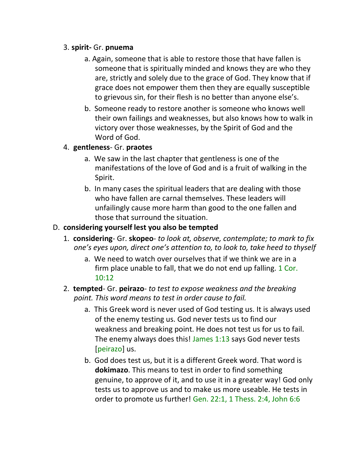#### 3. **spirit-** Gr. **pnuema**

- a. Again, someone that is able to restore those that have fallen is someone that is spiritually minded and knows they are who they are, strictly and solely due to the grace of God. They know that if grace does not empower them then they are equally susceptible to grievous sin, for their flesh is no better than anyone else's.
- b. Someone ready to restore another is someone who knows well their own failings and weaknesses, but also knows how to walk in victory over those weaknesses, by the Spirit of God and the Word of God.

#### 4. **gentleness**- Gr. **praotes**

- a. We saw in the last chapter that gentleness is one of the manifestations of the love of God and is a fruit of walking in the Spirit.
- b. In many cases the spiritual leaders that are dealing with those who have fallen are carnal themselves. These leaders will unfailingly cause more harm than good to the one fallen and those that surround the situation.

### D. **considering yourself lest you also be tempted**

- 1. **considering** Gr. **skopeo** *to look at, observe, contemplate; to mark to fix one's eyes upon, direct one's attention to, to look to, take heed to thyself*
	- a. We need to watch over ourselves that if we think we are in a firm place unable to fall, that we do not end up falling. 1 Cor. 10:12
- 2. **tempted** Gr. **peirazo** *to test to expose weakness and the breaking point. This word means to test in order cause to fail.*
	- a. This Greek word is never used of God testing us. It is always used of the enemy testing us. God never tests us to find our weakness and breaking point. He does not test us for us to fail. The enemy always does this! James 1:13 says God never tests [peirazo] us.
	- b. God does test us, but it is a different Greek word. That word is **dokimazo**. This means to test in order to find something genuine, to approve of it, and to use it in a greater way! God only tests us to approve us and to make us more useable. He tests in order to promote us further! Gen. 22:1, 1 Thess. 2:4, John 6:6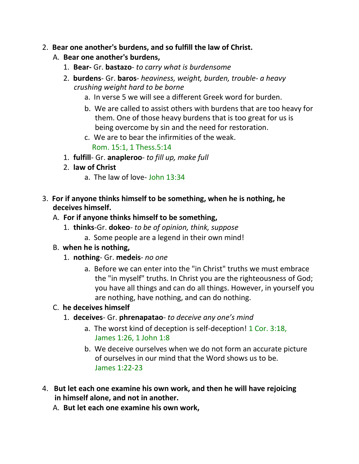#### 2. **Bear one another's burdens, and so fulfill the law of Christ.**

### A. **Bear one another's burdens,**

- 1. **Bear-** Gr. **bastazo** *to carry what is burdensome*
- 2. **burdens** Gr. **baros** *heaviness, weight, burden, trouble- a heavy crushing weight hard to be borne*
	- a. In verse 5 we will see a different Greek word for burden.
	- b. We are called to assist others with burdens that are too heavy for them. One of those heavy burdens that is too great for us is being overcome by sin and the need for restoration.
	- c. We are to bear the infirmities of the weak. Rom. 15:1, 1 Thess.5:14
- 1. **fulfill** Gr. **anapleroo** *to fill up, make full*
- 2. **law of Christ**
	- a. The law of love- John 13:34
- 3. **For if anyone thinks himself to be something, when he is nothing, he deceives himself.**

### A. **For if anyone thinks himself to be something,**

- 1. **thinks**-Gr. **dokeo** *to be of opinion, think, suppose*
	- a. Some people are a legend in their own mind!

#### B. **when he is nothing,**

- 1. **nothing** Gr. **medeis** *no one*
	- a. Before we can enter into the "in Christ" truths we must embrace the "in myself" truths. In Christ you are the righteousness of God; you have all things and can do all things. However, in yourself you are nothing, have nothing, and can do nothing.

# C. **he deceives himself**

- 1. **deceives** Gr. **phrenapatao** *to deceive any one's mind*
	- a. The worst kind of deception is self-deception! 1 Cor. 3:18, James 1:26, 1 John 1:8
	- b. We deceive ourselves when we do not form an accurate picture of ourselves in our mind that the Word shows us to be. James 1:22-23
- 4. **But let each one examine his own work, and then he will have rejoicing in himself alone, and not in another.**
	- A. **But let each one examine his own work,**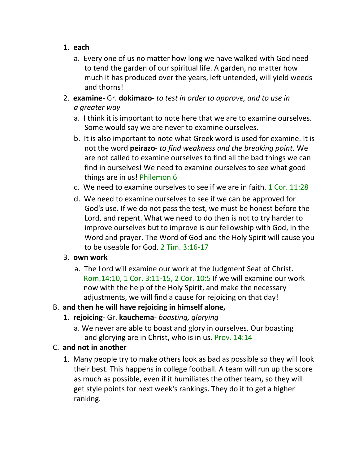- 1. **each**
	- a. Every one of us no matter how long we have walked with God need to tend the garden of our spiritual life. A garden, no matter how much it has produced over the years, left untended, will yield weeds and thorns!
- 2. **examine** Gr. **dokimazo** *to test in order to approve, and to use in a greater way*
	- a. I think it is important to note here that we are to examine ourselves. Some would say we are never to examine ourselves.
	- b. It is also important to note what Greek word is used for examine. It is not the word **peirazo**- *to find weakness and the breaking point.* We are not called to examine ourselves to find all the bad things we can find in ourselves! We need to examine ourselves to see what good things are in us! Philemon 6
	- c. We need to examine ourselves to see if we are in faith. 1 Cor. 11:28
	- d. We need to examine ourselves to see if we can be approved for God's use. If we do not pass the test, we must be honest before the Lord, and repent. What we need to do then is not to try harder to improve ourselves but to improve is our fellowship with God, in the Word and prayer. The Word of God and the Holy Spirit will cause you to be useable for God. 2 Tim. 3:16-17

#### 3. **own work**

a. The Lord will examine our work at the Judgment Seat of Christ. Rom.14:10, 1 Cor. 3:11-15, 2 Cor. 10:5 If we will examine our work now with the help of the Holy Spirit, and make the necessary adjustments, we will find a cause for rejoicing on that day!

# B. **and then he will have rejoicing in himself alone,**

- 1. **rejoicing** Gr. **kauchema** *boasting, glorying*
	- a. We never are able to boast and glory in ourselves. Our boasting and glorying are in Christ, who is in us. Prov. 14:14
- C. **and not in another**
	- 1. Many people try to make others look as bad as possible so they will look their best. This happens in college football. A team will run up the score as much as possible, even if it humiliates the other team, so they will get style points for next week's rankings. They do it to get a higher ranking.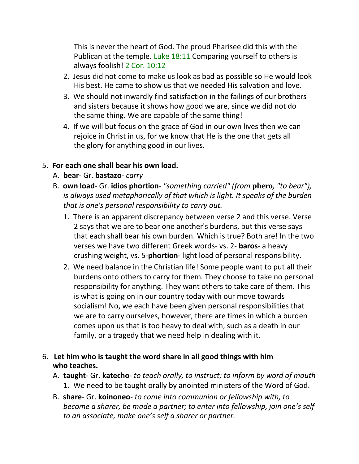This is never the heart of God. The proud Pharisee did this with the Publican at the temple. Luke 18:11 Comparing yourself to others is always foolish! 2 Cor. 10:12

- 2. Jesus did not come to make us look as bad as possible so He would look His best. He came to show us that we needed His salvation and love.
- 3. We should not inwardly find satisfaction in the failings of our brothers and sisters because it shows how good we are, since we did not do the same thing. We are capable of the same thing!
- 4. If we will but focus on the grace of God in our own lives then we can rejoice in Christ in us, for we know that He is the one that gets all the glory for anything good in our lives.

### 5. **For each one shall bear his own load.**

- A. **bear** Gr. **bastazo** *carry*
- B. **own load** Gr. **idios phortion** *"something carried" (from* **phero***, "to bear"),* is always used metaphorically of that which is light. It speaks of the burden *that is one's personal responsibility to carry out.*
	- 1. There is an apparent discrepancy between verse 2 and this verse. Verse 2 says that we are to bear one another's burdens, but this verse says that each shall bear his own burden. Which is true? Both are! In the two verses we have two different Greek words- vs. 2- **baros**- a heavy crushing weight, vs. 5-**phortion**- light load of personal responsibility.
	- 2. We need balance in the Christian life! Some people want to put all their burdens onto others to carry for them. They choose to take no personal responsibility for anything. They want others to take care of them. This is what is going on in our country today with our move towards socialism! No, we each have been given personal responsibilities that we are to carry ourselves, however, there are times in which a burden comes upon us that is too heavy to deal with, such as a death in our family, or a tragedy that we need help in dealing with it.

### 6. **Let him who is taught the word share in all good things with him who teaches.**

- A. **taught** Gr. **katecho** *to teach orally, to instruct; to inform by word of mouth* 1. We need to be taught orally by anointed ministers of the Word of God.
- B. **share** Gr. **koinoneo** *to come into communion or fellowship with, to become a sharer, be made a partner; to enter into fellowship, join one's self to an associate, make one's self a sharer or partner.*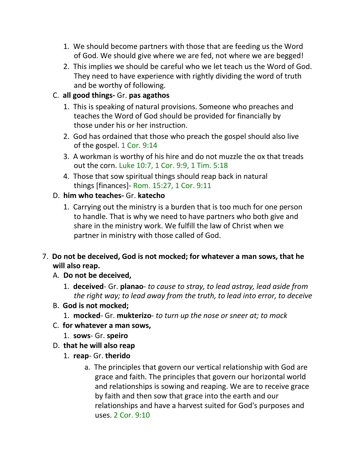- 1. We should become partners with those that are feeding us the Word of God. We should give where we are fed, not where we are begged!
- 2. This implies we should be careful who we let teach us the Word of God. They need to have experience with rightly dividing the word of truth and be worthy of following.

# C. **all good things-** Gr. **pas agathos**

- 1. This is speaking of natural provisions. Someone who preaches and teaches the Word of God should be provided for financially by those under his or her instruction.
- 2. God has ordained that those who preach the gospel should also live of the gospel. 1 Cor. 9:14
- 3. A workman is worthy of his hire and do not muzzle the ox that treads out the corn. Luke 10:7, 1 Cor. 9:9, 1 Tim. 5:18
- 4. Those that sow spiritual things should reap back in natural things [finances]- Rom. 15:27, 1 Cor. 9:11

### D. **him who teaches-** Gr. **katecho**

- 1. Carrying out the ministry is a burden that is too much for one person to handle. That is why we need to have partners who both give and share in the ministry work. We fulfill the law of Christ when we partner in ministry with those called of God.
- 7. **Do not be deceived, God is not mocked; for whatever a man sows, that he will also reap.**
	- A. **Do not be deceived,**
		- 1. **deceived** Gr. **planao** *to cause to stray, to lead astray, lead aside from the right way; to lead away from the truth, to lead into error, to deceive*
	- B. **God is not mocked;**
		- 1. **mocked** Gr. **mukterizo** *to turn up the nose or sneer at; to mock*
	- C. **for whatever a man sows,**
		- 1. **sows** Gr. **speiro**
	- D. **that he will also reap**
		- 1. **reap** Gr. **therido**
			- a. The principles that govern our vertical relationship with God are grace and faith. The principles that govern our horizontal world and relationships is sowing and reaping. We are to receive grace by faith and then sow that grace into the earth and our relationships and have a harvest suited for God's purposes and uses. 2 Cor. 9:10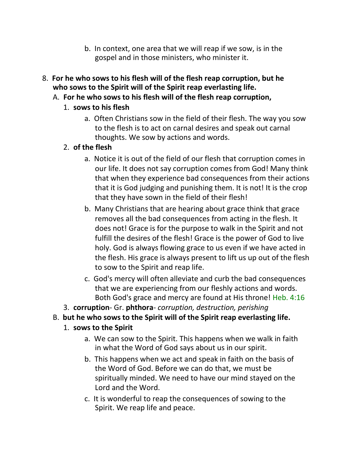- b. In context, one area that we will reap if we sow, is in the gospel and in those ministers, who minister it.
- 8. **For he who sows to his flesh will of the flesh reap corruption, but he who sows to the Spirit will of the Spirit reap everlasting life.**
	- A. **For he who sows to his flesh will of the flesh reap corruption,**
		- 1. **sows to his flesh**
			- a. Often Christians sow in the field of their flesh. The way you sow to the flesh is to act on carnal desires and speak out carnal thoughts. We sow by actions and words.

# 2. **of the flesh**

- a. Notice it is out of the field of our flesh that corruption comes in our life. It does not say corruption comes from God! Many think that when they experience bad consequences from their actions that it is God judging and punishing them. It is not! It is the crop that they have sown in the field of their flesh!
- b. Many Christians that are hearing about grace think that grace removes all the bad consequences from acting in the flesh. It does not! Grace is for the purpose to walk in the Spirit and not fulfill the desires of the flesh! Grace is the power of God to live holy. God is always flowing grace to us even if we have acted in the flesh. His grace is always present to lift us up out of the flesh to sow to the Spirit and reap life.
- c. God's mercy will often alleviate and curb the bad consequences that we are experiencing from our fleshly actions and words. Both God's grace and mercy are found at His throne! Heb. 4:16
- 3. **corruption** Gr. **phthora** *corruption, destruction, perishing*
- B. **but he who sows to the Spirit will of the Spirit reap everlasting life.**
	- 1. **sows to the Spirit**
		- a. We can sow to the Spirit. This happens when we walk in faith in what the Word of God says about us in our spirit.
		- b. This happens when we act and speak in faith on the basis of the Word of God. Before we can do that, we must be spiritually minded. We need to have our mind stayed on the Lord and the Word.
		- c. It is wonderful to reap the consequences of sowing to the Spirit. We reap life and peace.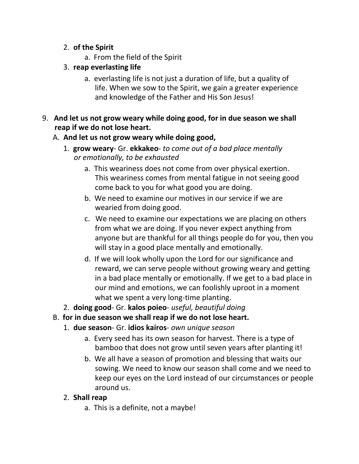- 2. **of the Spirit**
	- a. From the field of the Spirit
- 3. **reap everlasting life**
	- a. everlasting life is not just a duration of life, but a quality of life. When we sow to the Spirit, we gain a greater experience and knowledge of the Father and His Son Jesus!
- 9. **And let us not grow weary while doing good, for in due season we shall reap if we do not lose heart.**

### A. **And let us not grow weary while doing good,**

- 1. **grow weary** Gr. **ekkakeo** *to come out of a bad place mentally or emotionally, to be exhausted*
	- a. This weariness does not come from over physical exertion. This weariness comes from mental fatigue in not seeing good come back to you for what good you are doing.
	- b. We need to examine our motives in our service if we are wearied from doing good.
	- c. We need to examine our expectations we are placing on others from what we are doing. If you never expect anything from anyone but are thankful for all things people do for you, then you will stay in a good place mentally and emotionally.
	- d. If we will look wholly upon the Lord for our significance and reward, we can serve people without growing weary and getting in a bad place mentally or emotionally. If we get to a bad place in our mind and emotions, we can foolishly uproot in a moment what we spent a very long-time planting.
- 2. **doing good** Gr. **kalos poieo** *useful, beautiful doing*
- B. **for in due season we shall reap if we do not lose heart.**
	- 1. **due season** Gr. **idios kairos** *own unique season*
		- a. Every seed has its own season for harvest. There is a type of bamboo that does not grow until seven years after planting it!
		- b. We all have a season of promotion and blessing that waits our sowing. We need to know our season shall come and we need to keep our eyes on the Lord instead of our circumstances or people around us.

#### 2. **Shall reap**

a. This is a definite, not a maybe!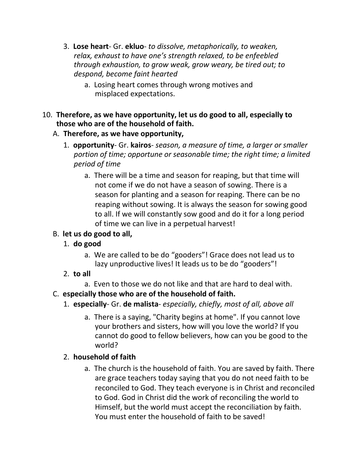- 3. **Lose heart** Gr. **ekluo** *to dissolve, metaphorically, to weaken, relax, exhaust to have one's strength relaxed, to be enfeebled through exhaustion, to grow weak, grow weary, be tired out; to despond, become faint hearted*
	- a. Losing heart comes through wrong motives and misplaced expectations.
- 10. **Therefore, as we have opportunity, let us do good to all, especially to those who are of the household of faith.**
	- A. **Therefore, as we have opportunity,**
		- 1. **opportunity** Gr. **kairos** *season, a measure of time, a larger or smaller portion of time; opportune or seasonable time; the right time; a limited period of time*
			- a. There will be a time and season for reaping, but that time will not come if we do not have a season of sowing. There is a season for planting and a season for reaping. There can be no reaping without sowing. It is always the season for sowing good to all. If we will constantly sow good and do it for a long period of time we can live in a perpetual harvest!
	- B. **let us do good to all,**
		- 1. **do good**
			- a. We are called to be do "gooders"! Grace does not lead us to lazy unproductive lives! It leads us to be do "gooders"!
		- 2. **to all**
			- a. Even to those we do not like and that are hard to deal with.
	- C. **especially those who are of the household of faith.**
		- 1. **especially** Gr. **de malista** *especially, chiefly, most of all, above all*
			- a. There is a saying, "Charity begins at home". If you cannot love your brothers and sisters, how will you love the world? If you cannot do good to fellow believers, how can you be good to the world?

# 2. **household of faith**

a. The church is the household of faith. You are saved by faith. There are grace teachers today saying that you do not need faith to be reconciled to God. They teach everyone is in Christ and reconciled to God. God in Christ did the work of reconciling the world to Himself, but the world must accept the reconciliation by faith. You must enter the household of faith to be saved!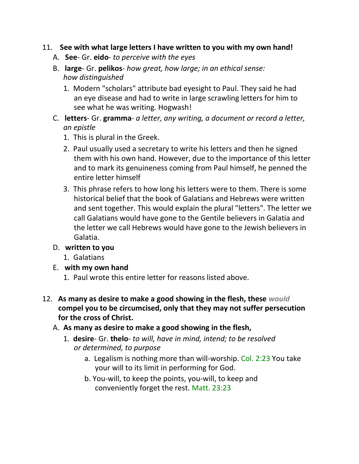#### 11. **See with what large letters I have written to you with my own hand!**

- A. **See** Gr. **eido** *to perceive with the eyes*
- B. **large** Gr. **pelikos** *how great, how large; in an ethical sense: how distinguished*
	- 1. Modern "scholars" attribute bad eyesight to Paul. They said he had an eye disease and had to write in large scrawling letters for him to see what he was writing. Hogwash!
- C. **letters** Gr. **gramma** *a letter, any writing, a document or record a letter, an epistle*
	- 1. This is plural in the Greek.
	- 2. Paul usually used a secretary to write his letters and then he signed them with his own hand. However, due to the importance of this letter and to mark its genuineness coming from Paul himself, he penned the entire letter himself
	- 3. This phrase refers to how long his letters were to them. There is some historical belief that the book of Galatians and Hebrews were written and sent together. This would explain the plural "letters". The letter we call Galatians would have gone to the Gentile believers in Galatia and the letter we call Hebrews would have gone to the Jewish believers in Galatia.
- D. **written to you**
	- 1. Galatians
- E. **with my own hand**
	- 1. Paul wrote this entire letter for reasons listed above.
- 12. **As many as desire to make a good showing in the flesh, these** *would*  **compel you to be circumcised, only that they may not suffer persecution for the cross of Christ.**
	- A. **As many as desire to make a good showing in the flesh,**
		- 1. **desire** Gr. **thelo** *to will, have in mind, intend; to be resolved or determined, to purpose*
			- a. Legalism is nothing more than will-worship. Col. 2:23 You take your will to its limit in performing for God.
			- b. You-will, to keep the points, you-will, to keep and conveniently forget the rest. Matt. 23:23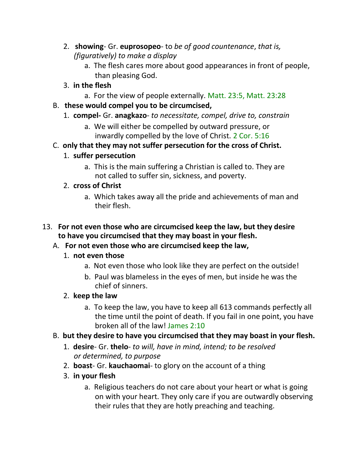- 2. **showing** Gr. **euprosopeo** to *be of good countenance*, *that is, (figuratively) to make a display*
	- a. The flesh cares more about good appearances in front of people, than pleasing God.
- 3. **in the flesh**
	- a. For the view of people externally. Matt. 23:5, Matt. 23:28
- B. **these would compel you to be circumcised,**
	- 1. **compel-** Gr. **anagkazo** *to necessitate, compel, drive to, constrain*
		- a. We will either be compelled by outward pressure, or inwardly compelled by the love of Christ. 2 Cor. 5:16
- C. **only that they may not suffer persecution for the cross of Christ.**

# 1. **suffer persecution**

a. This is the main suffering a Christian is called to. They are not called to suffer sin, sickness, and poverty.

# 2. **cross of Christ**

a. Which takes away all the pride and achievements of man and their flesh.

# 13. **For not even those who are circumcised keep the law, but they desire to have you circumcised that they may boast in your flesh.**

# A. **For not even those who are circumcised keep the law,**

# 1. **not even those**

- a. Not even those who look like they are perfect on the outside!
- b. Paul was blameless in the eyes of men, but inside he was the chief of sinners.

# 2. **keep the law**

- a. To keep the law, you have to keep all 613 commands perfectly all the time until the point of death. If you fail in one point, you have broken all of the law! James 2:10
- B. **but they desire to have you circumcised that they may boast in your flesh.**
	- 1. **desire** Gr. **thelo** *to will, have in mind, intend; to be resolved or determined, to purpose*
	- 2. **boast** Gr. **kauchaomai** to glory on the account of a thing
	- 3. **in your flesh**
		- a. Religious teachers do not care about your heart or what is going on with your heart. They only care if you are outwardly observing their rules that they are hotly preaching and teaching.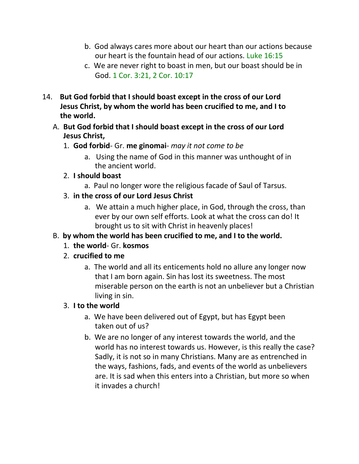- b. God always cares more about our heart than our actions because our heart is the fountain head of our actions. Luke 16:15
- c. We are never right to boast in men, but our boast should be in God. 1 Cor. 3:21, 2 Cor. 10:17
- 14. **But God forbid that I should boast except in the cross of our Lord Jesus Christ, by whom the world has been crucified to me, and I to the world.**
	- A. **But God forbid that I should boast except in the cross of our Lord Jesus Christ,**
		- 1. **God forbid** Gr. **me ginomai** *may it not come to be*
			- a. Using the name of God in this manner was unthought of in the ancient world.

# 2. **I should boast**

- a. Paul no longer wore the religious facade of Saul of Tarsus.
- 3. **in the cross of our Lord Jesus Christ**
	- a. We attain a much higher place, in God, through the cross, than ever by our own self efforts. Look at what the cross can do! It brought us to sit with Christ in heavenly places!

# B. **by whom the world has been crucified to me, and I to the world.**

- 1. **the world** Gr. **kosmos**
- 2. **crucified to me**
	- a. The world and all its enticements hold no allure any longer now that I am born again. Sin has lost its sweetness. The most miserable person on the earth is not an unbeliever but a Christian living in sin.

# 3. **I to the world**

- a. We have been delivered out of Egypt, but has Egypt been taken out of us?
- b. We are no longer of any interest towards the world, and the world has no interest towards us. However, is this really the case? Sadly, it is not so in many Christians. Many are as entrenched in the ways, fashions, fads, and events of the world as unbelievers are. It is sad when this enters into a Christian, but more so when it invades a church!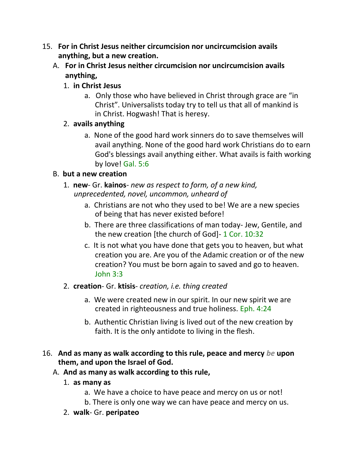- 15. **For in Christ Jesus neither circumcision nor uncircumcision avails anything, but a new creation.**
	- A. **For in Christ Jesus neither circumcision nor uncircumcision avails anything,**
		- 1. **in Christ Jesus**
			- a. Only those who have believed in Christ through grace are "in Christ". Universalists today try to tell us that all of mankind is in Christ. Hogwash! That is heresy.
		- 2. **avails anything**
			- a. None of the good hard work sinners do to save themselves will avail anything. None of the good hard work Christians do to earn God's blessings avail anything either. What avails is faith working by love! Gal. 5:6

# B. **but a new creation**

- 1. **new** Gr. **kainos** *new as respect to form, of a new kind, unprecedented, novel, uncommon, unheard of*
	- a. Christians are not who they used to be! We are a new species of being that has never existed before!
	- b. There are three classifications of man today- Jew, Gentile, and the new creation [the church of God]- 1 Cor. 10:32
	- c. It is not what you have done that gets you to heaven, but what creation you are. Are you of the Adamic creation or of the new creation? You must be born again to saved and go to heaven. John 3:3
- 2. **creation** Gr. **ktisis** *creation, i.e. thing created*
	- a. We were created new in our spirit. In our new spirit we are created in righteousness and true holiness. Eph. 4:24
	- b. Authentic Christian living is lived out of the new creation by faith. It is the only antidote to living in the flesh.
- 16. **And as many as walk according to this rule, peace and mercy** *be* **upon them, and upon the Israel of God.**
	- A. **And as many as walk according to this rule,**
		- 1. **as many as**
			- a. We have a choice to have peace and mercy on us or not!
			- b. There is only one way we can have peace and mercy on us.
		- 2. **walk** Gr. **peripateo**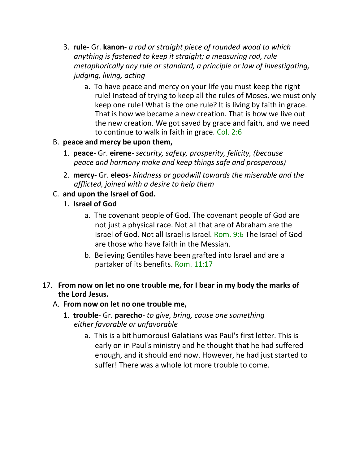- 3. **rule** Gr. **kanon** *a rod or straight piece of rounded wood to which anything is fastened to keep it straight; a measuring rod, rule metaphorically any rule or standard, a principle or law of investigating, judging, living, acting*
	- a. To have peace and mercy on your life you must keep the right rule! Instead of trying to keep all the rules of Moses, we must only keep one rule! What is the one rule? It is living by faith in grace. That is how we became a new creation. That is how we live out the new creation. We got saved by grace and faith, and we need to continue to walk in faith in grace. Col. 2:6

### B. **peace and mercy be upon them,**

- 1. **peace** Gr. **eirene** *security, safety, prosperity, felicity, (because peace and harmony make and keep things safe and prosperous)*
- 2. **mercy** Gr. **eleos** *kindness or goodwill towards the miserable and the afflicted, joined with a desire to help them*

### C. **and upon the Israel of God.**

- 1. **Israel of God**
	- a. The covenant people of God. The covenant people of God are not just a physical race. Not all that are of Abraham are the Israel of God. Not all Israel is Israel. Rom. 9:6 The Israel of God are those who have faith in the Messiah.
	- b. Believing Gentiles have been grafted into Israel and are a partaker of its benefits. Rom. 11:17
- 17. **From now on let no one trouble me, for I bear in my body the marks of the Lord Jesus.**

#### A. **From now on let no one trouble me,**

- 1. **trouble** Gr. **parecho** *to give, bring, cause one something either favorable or unfavorable*
	- a. This is a bit humorous! Galatians was Paul's first letter. This is early on in Paul's ministry and he thought that he had suffered enough, and it should end now. However, he had just started to suffer! There was a whole lot more trouble to come.